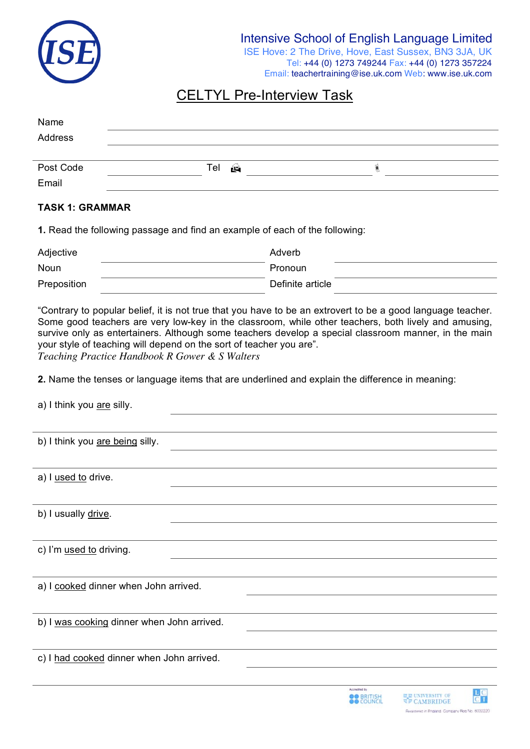

ISE Hove: 2 The Drive, Hove, East Sussex, BN3 3JA, UK Tel: +44 (0) 1273 749244 Fax: +44 (0) 1273 357224 Email: teachertraining@ise.uk.com Web: www.ise.uk.com

# CELTYL Pre-Interview Task

| Name<br>Address    |                           |  |  |
|--------------------|---------------------------|--|--|
| Post Code<br>Email | $\hat{\mathbf{r}}$<br>Tel |  |  |

#### **TASK 1: GRAMMAR**

**1.** Read the following passage and find an example of each of the following:

| Adjective   | Adverb           |
|-------------|------------------|
| Noun        | Pronoun          |
| Preposition | Definite article |

"Contrary to popular belief, it is not true that you have to be an extrovert to be a good language teacher. Some good teachers are very low-key in the classroom, while other teachers, both lively and amusing, survive only as entertainers. Although some teachers develop a special classroom manner, in the main your style of teaching will depend on the sort of teacher you are". *Teaching Practice Handbook R Gower & S Walters*

**2.** Name the tenses or language items that are underlined and explain the difference in meaning:

a) I think you are silly.

|  |  | b) I think you are being silly. |  |
|--|--|---------------------------------|--|

a) I used to drive.

b) I usually drive.

c) I'm used to driving.

a) I cooked dinner when John arrived.

b) I was cooking dinner when John arrived.

c) I had cooked dinner when John arrived.



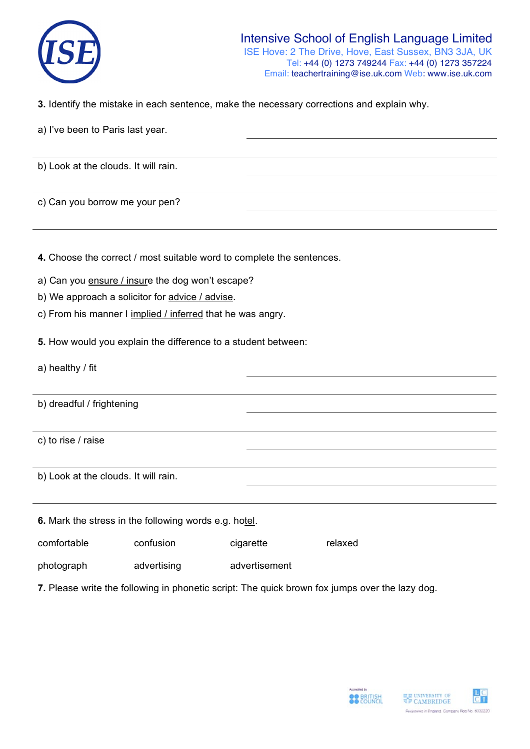

**3.** Identify the mistake in each sentence, make the necessary corrections and explain why.

|  |  | a) I've been to Paris last year. |  |
|--|--|----------------------------------|--|
|  |  |                                  |  |

b) Look at the clouds. It will rain.

c) Can you borrow me your pen?

**4.** Choose the correct / most suitable word to complete the sentences.

- a) Can you ensure / insure the dog won't escape?
- b) We approach a solicitor for advice / advise.
- c) From his manner I implied / inferred that he was angry.
- **5.** How would you explain the difference to a student between:

a) healthy / fit

b) dreadful / frightening

c) to rise / raise

b) Look at the clouds. It will rain.

**6.** Mark the stress in the following words e.g. hotel.

comfortable confusion cigarette relaxed

photograph advertising advertisement

**7.** Please write the following in phonetic script: The quick brown fox jumps over the lazy dog.



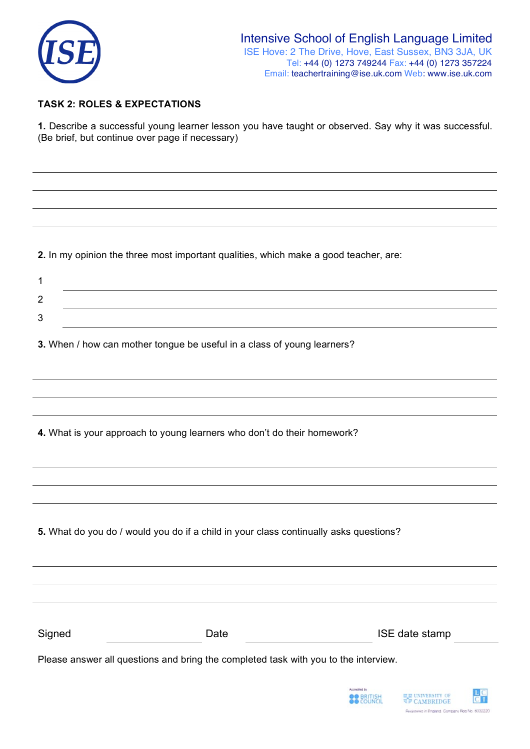

## **TASK 2: ROLES & EXPECTATIONS**

**1.** Describe a successful young learner lesson you have taught or observed. Say why it was successful. (Be brief, but continue over page if necessary)

**2.** In my opinion the three most important qualities, which make a good teacher, are:

**3.** When / how can mother tongue be useful in a class of young learners?

**5.** What do you do / would you do if a child in your class continually asks questions?

Signed Date Date ISE date stamp Please answer all questions and bring the completed task with you to the interview.

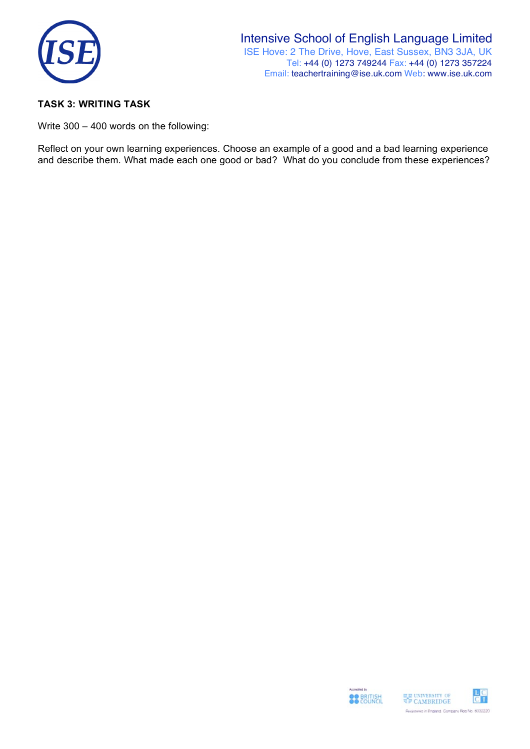

## **TASK 3: WRITING TASK**

Write 300 – 400 words on the following:

Reflect on your own learning experiences. Choose an example of a good and a bad learning experience and describe them. What made each one good or bad? What do you conclude from these experiences?